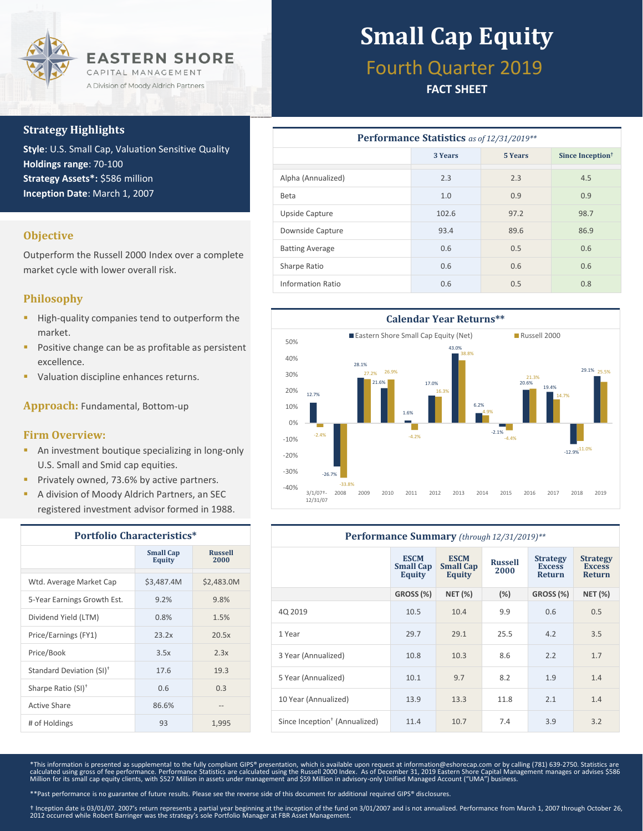

## **Strategy Highlights**

**Style**: U.S. Small Cap, Valuation Sensitive Quality **Holdings range**: 70-100 **Strategy Assets\*:** \$586 million **Inception Date**: March 1, 2007

### **Objective**

Outperform the Russell 2000 Index over a complete market cycle with lower overall risk.

### **Philosophy**

- High-quality companies tend to outperform the market.
- Positive change can be as profitable as persistent excellence.
- Valuation discipline enhances returns.

**Approach:** Fundamental, Bottom-up

### **Firm Overview:**

- **An investment boutique specializing in long-only** U.S. Small and Smid cap equities.
- Privately owned, 73.6% by active partners.
- A division of Moody Aldrich Partners, an SEC registered investment advisor formed in 1988.

| <b>Portfolio Characteristics*</b>    |                                   |                        |  |  |
|--------------------------------------|-----------------------------------|------------------------|--|--|
|                                      | <b>Small Cap</b><br><b>Equity</b> | <b>Russell</b><br>2000 |  |  |
| Wtd. Average Market Cap              | \$3,487.4M                        | \$2,483.0M             |  |  |
| 5-Year Earnings Growth Est.          | 9.2%                              | 9.8%                   |  |  |
| Dividend Yield (LTM)                 | 0.8%                              | 1.5%                   |  |  |
| Price/Earnings (FY1)                 | 23.2x                             | 20.5x                  |  |  |
| Price/Book                           | 3.5x                              | 2.3x                   |  |  |
| Standard Deviation (SI) <sup>†</sup> | 17.6                              | 19.3                   |  |  |
| Sharpe Ratio (SI) <sup>+</sup>       | 0.6                               | 0.3                    |  |  |
| Active Share                         | 86.6%                             |                        |  |  |
| # of Holdings                        | 93                                | 1,995                  |  |  |

# **Small Cap Equity**

# Fourth Quarter 2019

## **FACT SHEET**

| <b>Performance Statistics</b> as of 12/31/2019** |         |                |                              |  |  |  |  |
|--------------------------------------------------|---------|----------------|------------------------------|--|--|--|--|
|                                                  | 3 Years | <b>5 Years</b> | Since Inception <sup>†</sup> |  |  |  |  |
| Alpha (Annualized)                               | 2.3     | 2.3            | 4.5                          |  |  |  |  |
| <b>Beta</b>                                      | 1.0     | 0.9            | 0.9                          |  |  |  |  |
| Upside Capture                                   | 102.6   | 97.2           | 98.7                         |  |  |  |  |
| Downside Capture                                 | 93.4    | 89.6           | 86.9                         |  |  |  |  |
| <b>Batting Average</b>                           | 0.6     | 0.5            | 0.6                          |  |  |  |  |
| Sharpe Ratio                                     | 0.6     | 0.6            | 0.6                          |  |  |  |  |
| <b>Information Ratio</b>                         | 0.6     | 0.5            | 0.8                          |  |  |  |  |



| <b>Performance Summary</b> (through 12/31/2019)** |                                                  |                                                  |                        |                                                   |                                                   |
|---------------------------------------------------|--------------------------------------------------|--------------------------------------------------|------------------------|---------------------------------------------------|---------------------------------------------------|
|                                                   | <b>ESCM</b><br><b>Small Cap</b><br><b>Equity</b> | <b>ESCM</b><br><b>Small Cap</b><br><b>Equity</b> | <b>Russell</b><br>2000 | <b>Strategy</b><br><b>Excess</b><br><b>Return</b> | <b>Strategy</b><br><b>Excess</b><br><b>Return</b> |
|                                                   | GROSS (%)                                        | <b>NET (%)</b>                                   | (%)                    | GROSS (%)                                         | <b>NET (%)</b>                                    |
| 4Q 2019                                           | 10.5                                             | 10.4                                             | 9.9                    | 0.6                                               | 0.5                                               |
| 1 Year                                            | 29.7                                             | 29.1                                             | 25.5                   | 4.2                                               | 3.5                                               |
| 3 Year (Annualized)                               | 10.8                                             | 10.3                                             | 8.6                    | 2.2                                               | 1.7                                               |
| 5 Year (Annualized)                               | 10.1                                             | 9.7                                              | 8.2                    | 1.9                                               | 1.4                                               |
| 10 Year (Annualized)                              | 13.9                                             | 13.3                                             | 11.8                   | 2.1                                               | 1.4                                               |
| Since Inception <sup>†</sup> (Annualized)         | 11.4                                             | 10.7                                             | 7.4                    | 3.9                                               | 3.2                                               |

\*This information is presented as supplemental to the fully compliant GIPS® presentation, which is available upon request at information@eshorecap.com or by calling (781) 639-2750. Statistics are calculated using gross of fee performance. Performance Statistics are calculated using the Russell 2000 Index. As of December 31, 2019 Eastern Shore Capital Management manages or advises \$586<br>Million for its small cap equi

\*\*Past performance is no guarantee of future results. Please see the reverse side of this document for additional required GIPS® disclosures.

† Inception date is 03/01/07. 2007's return represents a partial year beginning at the inception of the fund on 3/01/2007 and is not annualized. Performance from March 1, 2007 through October 26, 2012 occurred while Robert Barringer was the strategy's sole Portfolio Manager at FBR Asset Management.